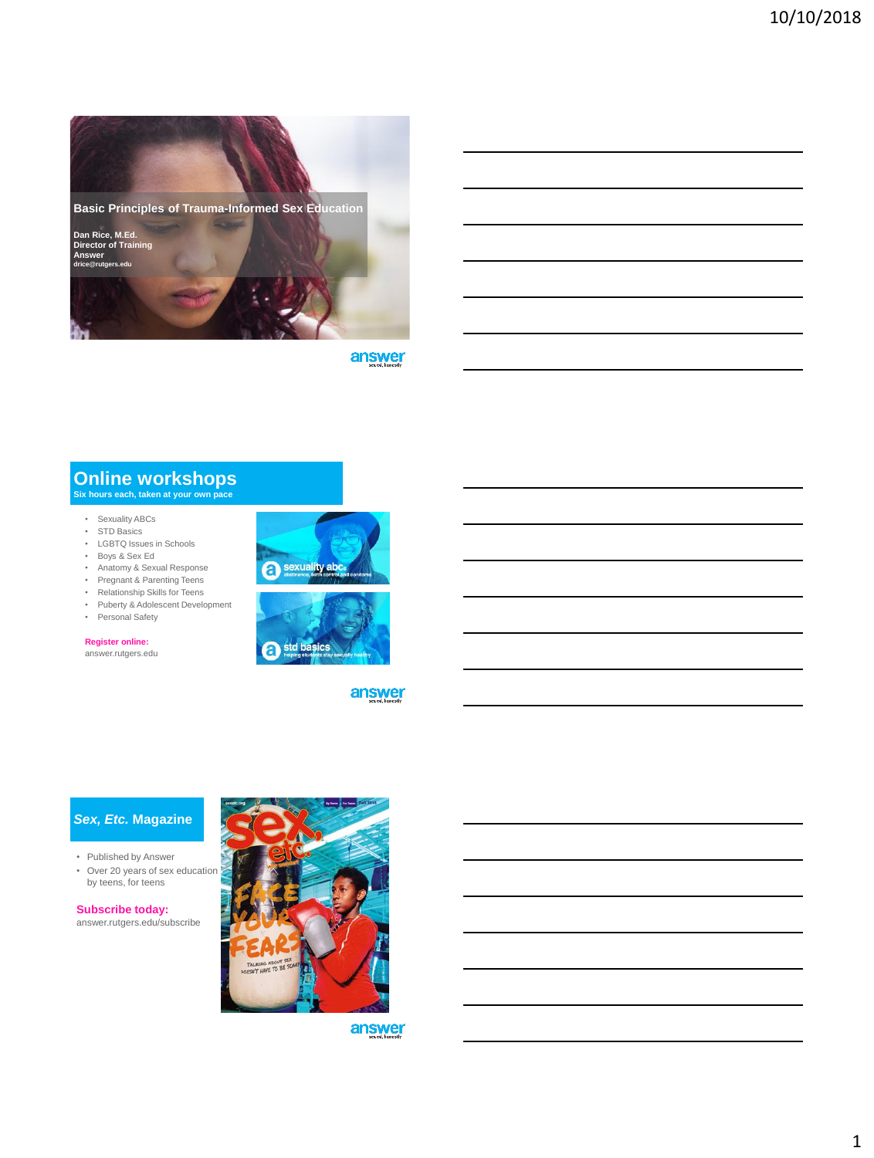

answer

# **Online workshops Six hours each, taken at your own pace**

- Sexuality ABCs
- STD Basics
- LGBTQ Issues in Schools • Boys & Sex Ed
- Anatomy & Sexual Response
- Pregnant & Parenting Teens
- Relationship Skills for Teens
- Puberty & Adolescent Development
- Personal Safety

#### **Register online:**

answer.rutgers.edu





answer

#### *Sex, Etc.* **Magazine**

- Published by Answer
- Over 20 years of sex education by teens, for teens

**Subscribe today:** answer.rutgers.edu/subscribe

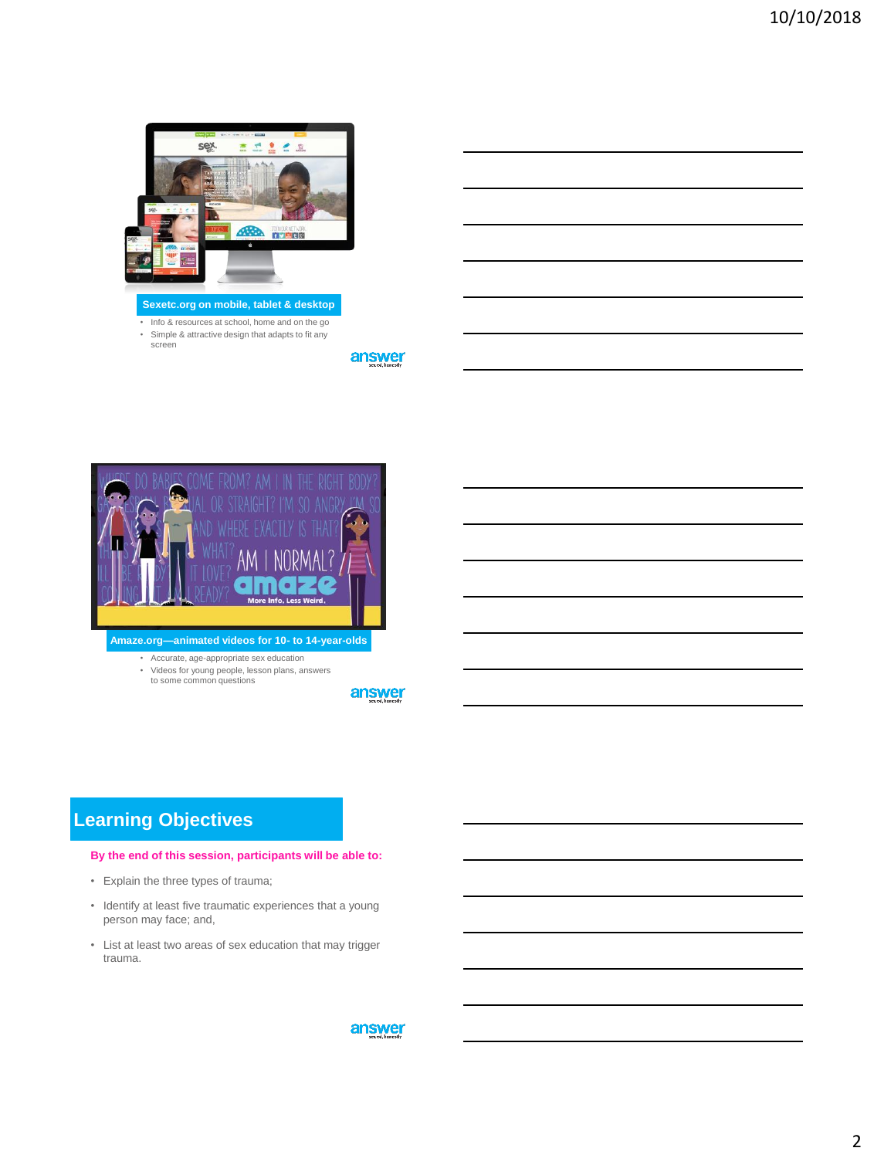

• Info & resources at school, home and on the go • Simple & attractive design that adapts to fit any screen

answer



**Amaze.org—animated videos for 10- to 14-year-olds** 

• Accurate, age-appropriate sex education • Videos for young people, lesson plans, answers to some common questions

answer

# **Learning Objectives**

#### **By the end of this session, participants will be able to:**

- Explain the three types of trauma;
- Identify at least five traumatic experiences that a young person may face; and,
- List at least two areas of sex education that may trigger trauma.

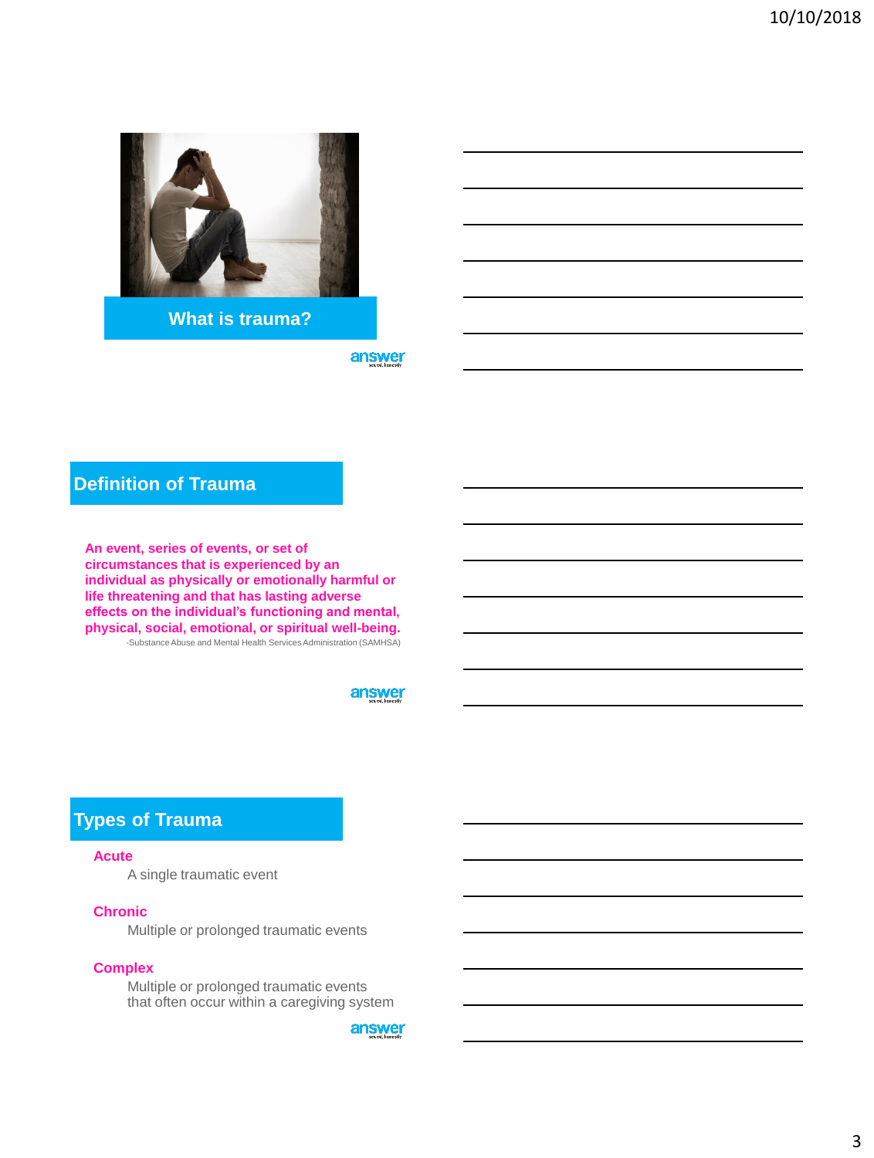

**What is trauma?**

answer

# **Definition of Trauma**

**An event, series of events, or set of circumstances that is experienced by an individual as physically or emotionally harmful or life threatening and that has lasting adverse effects on the individual's functioning and mental, physical, social, emotional, or spiritual well-being.** -Substance Abuse and Mental Health Services Administration (SAMHSA)

answer

### **Types of Trauma**

#### **Acute**

A single traumatic event

#### **Chronic**

Multiple or prolonged traumatic events

#### **Complex**

Multiple or prolonged traumatic events that often occur within a caregiving system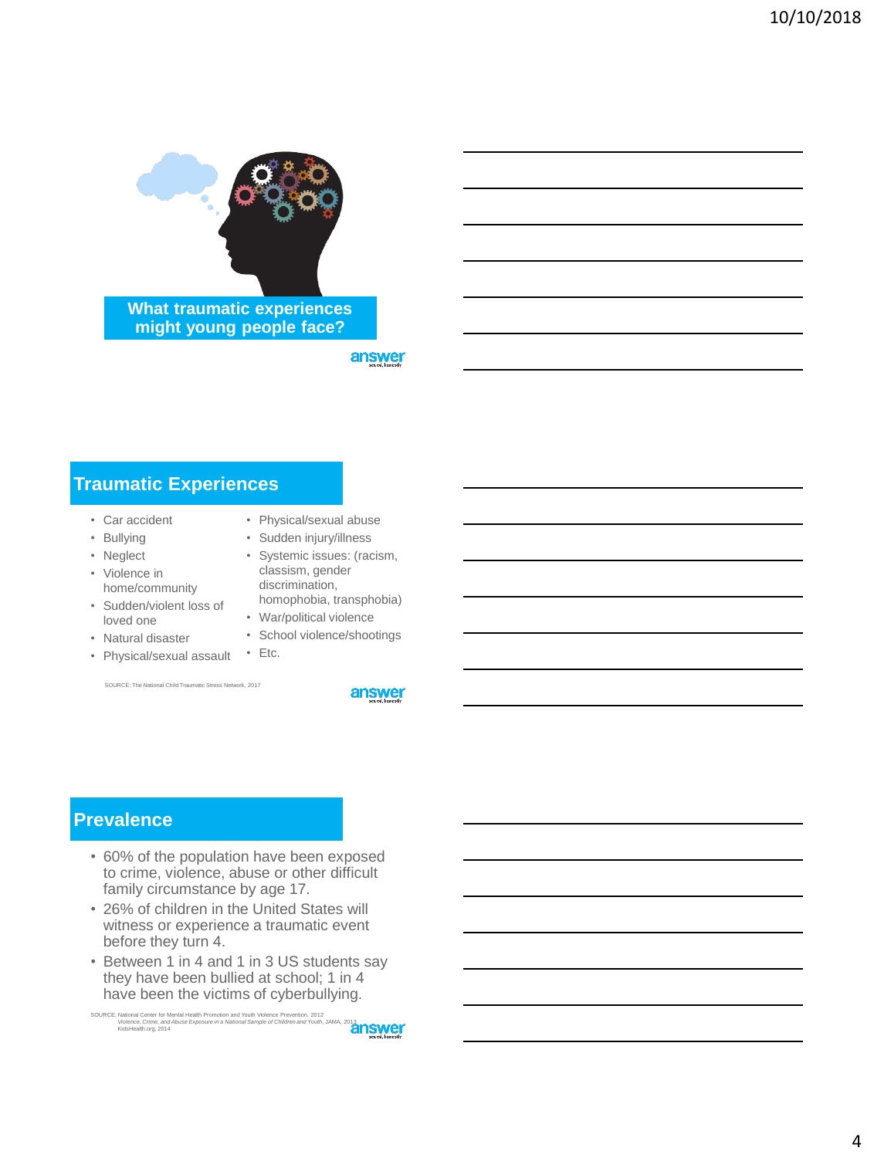

**What traumatic experiences might young people face?**

answer

# **Traumatic Experiences**

- Car accident
- Bullying
- Neglect
- Violence in home/community
- Sudden/violent loss of loved one
- Natural disaster
- Physical/sexual assault Etc.

SOURCE: The National Child Traumatic Stress Network, 2017

- Physical/sexual abuse
- Sudden injury/illness
- Systemic issues: (racism, classism, gender discrimination,
- homophobia, transphobia) • War/political violence
- School violence/shootings
- 

answer

### **Prevalence**

- 60% of the population have been exposed to crime, violence, abuse or other difficult family circumstance by age 17.
- 26% of children in the United States will witness or experience a traumatic event before they turn 4.
- Between 1 in 4 and 1 in 3 US students say they have been bullied at school; 1 in 4 have been the victims of cyberbullying.

SOURCE: National Center for Mental Health Promotion and Youth Violence Prevention, 2012 *Violence, Crime, and Abuse Exposure in a National Sample of Children and Youth*, JAMA, 2013 KidsHealth.org, 2014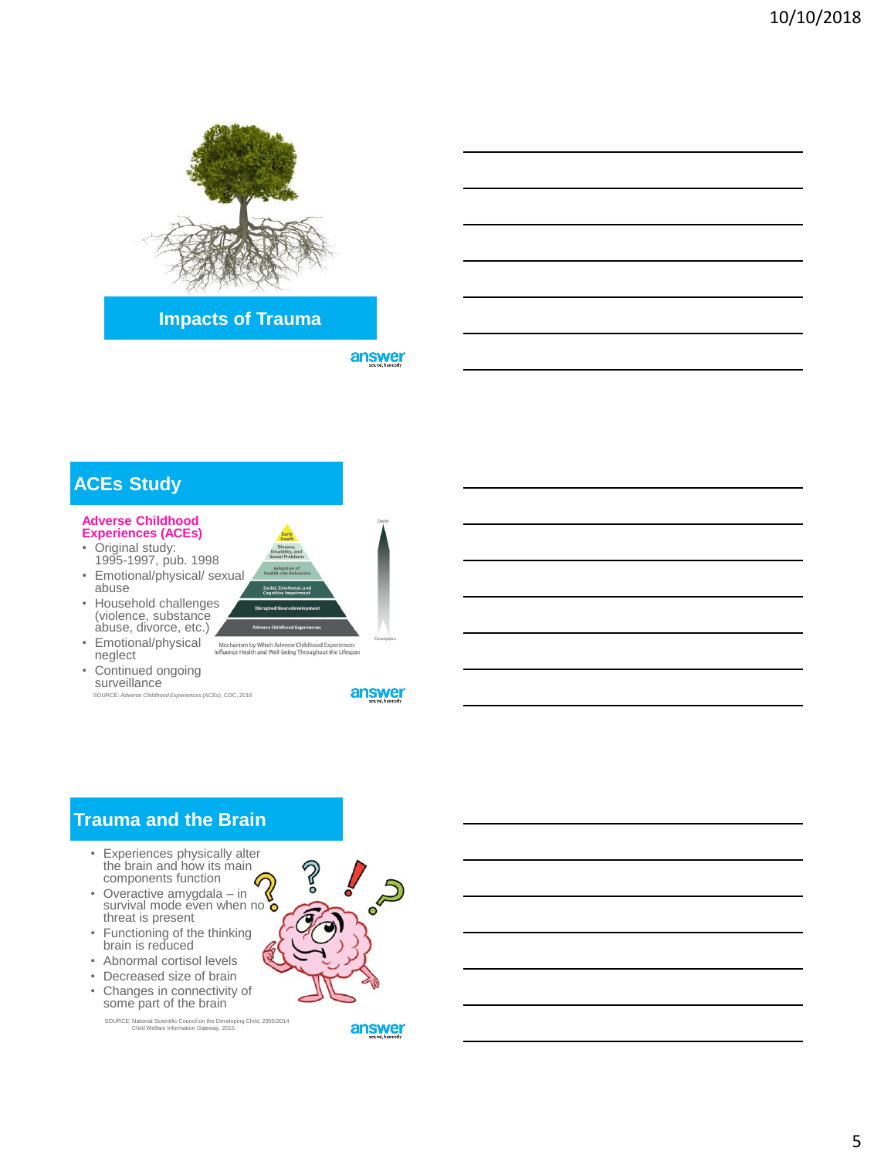

**Impacts of Trauma**

answer



**SUIVeillance**<br>source: Adverse Childho SOURCE: *Adverse Childhood Experiences (ACEs)*, CDC, 2016



# **Trauma and the Brain**

- Experiences physically alter the brain and how its main components function G
- Overactive amygdala in Survival mode even when no threat is present
- Functioning of the thinking brain is reduced
- Abnormal cortisol levels
- Decreased size of brain • Changes in connectivity of
- some part of the brain

SOURCE: National Scientific Council on the Developing Child, 2005/2014 Child Welfare Information Gateway, 2015

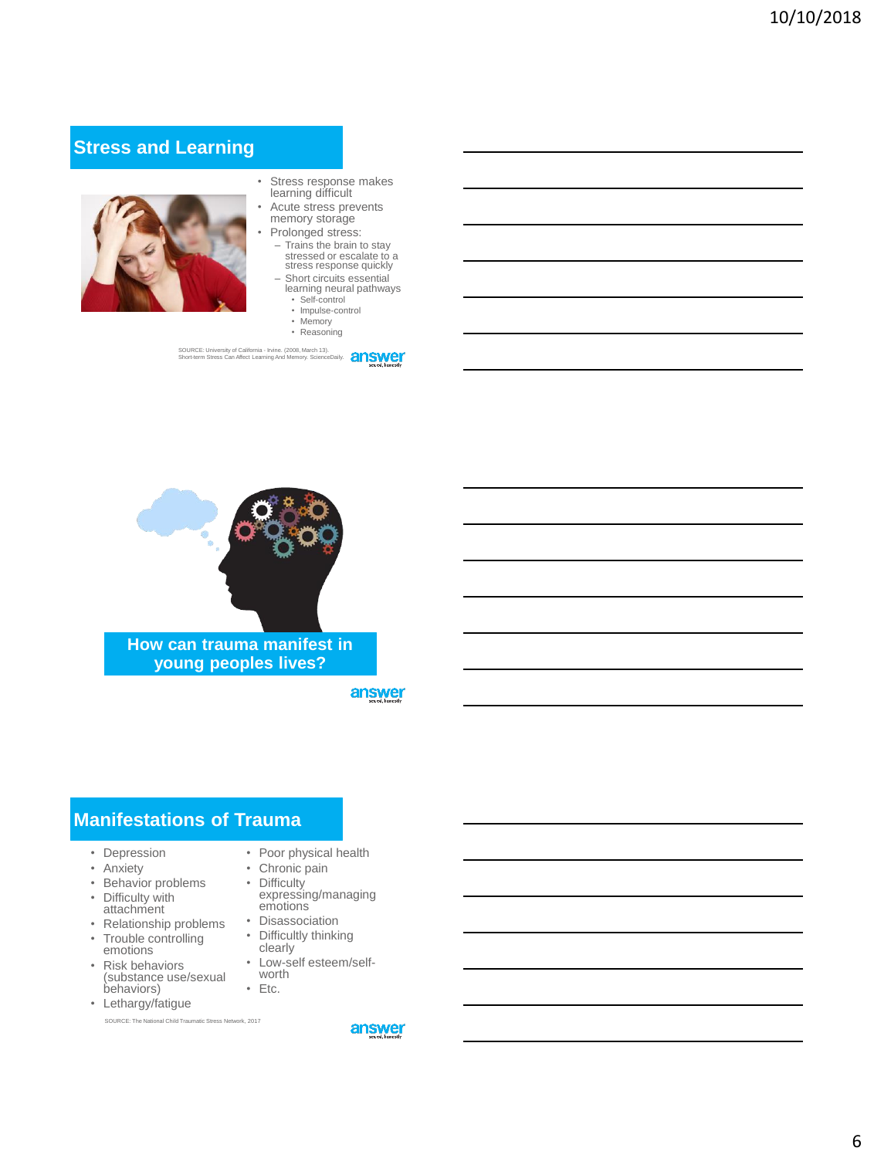# **Stress and Learning**



- Stress response makes learning difficult
- Acute stress prevents memory storage
- Prolonged stress: – Trains the brain to stay stressed or escalate to a stress response quickly
- Short circuits essential
	- learning neural pathways • Self-control
	- Impulse-control
	- Memory
	- Reasoning

SOURCE: University of California - Irvine. (2008, March 13). Short-term Stress Can Affect Learning And Memory. ScienceDaily.



**young peoples lives?**

answer

### **Manifestations of Trauma**

- Depression
- Anxiety
- Behavior problems • Difficulty with
- attachment • Relationship problems
- Trouble controlling emotions
- Risk behaviors (substance use/sexual behaviors)
- Lethargy/fatigue

SOURCE: The National Child Traumatic Stress Network, 2017

- Poor physical health
- Chronic pain
- Difficulty expressing/managing emotions
- Disassociation • Difficultly thinking
- clearly
- Low-self esteem/selfworth
- Etc.
- answer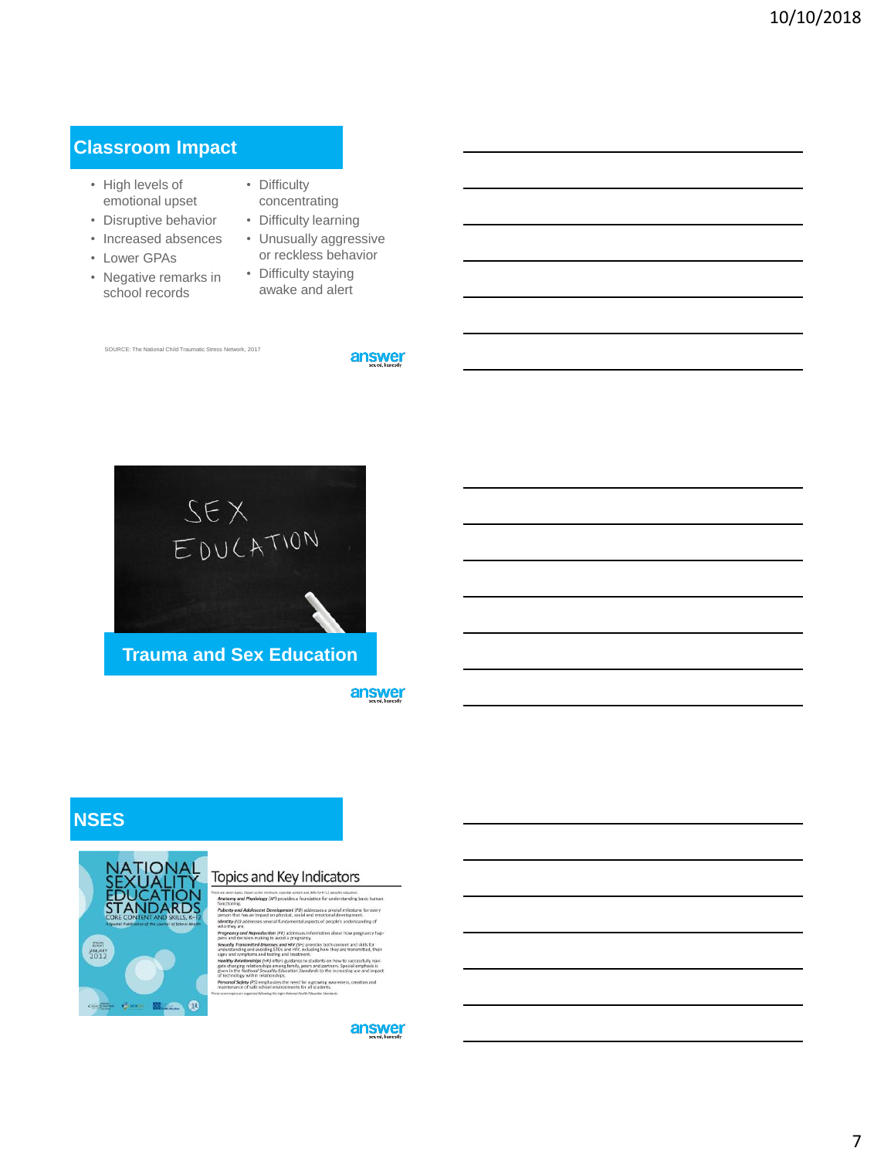### **Classroom Impact**

- High levels of emotional upset
- Disruptive behavior
- Increased absences
- Lower GPAs
- Negative remarks in school records
- Difficulty concentrating
- Difficulty learning
- Unusually aggressive or reckless behavior
- Difficulty staying awake and alert

SOURCE: The National Child Traumatic Stress Network, 2017

answer



**Trauma and Sex Education**

answer

## **NSES**



#### Topics and Key Indicators

ie meersen.<br>l**oav** (AP) p nd Phy vides a f ung.<br>rand Adolescent Development (PD) address<br>that has an impact on physical, social and ei<br>(*ID*) addresses several fundamental aspects and the state of the state of the state of the state interests into a state of the state of the state interests into a state of the state of the state of the state of the state of the state of the state of the state of the is and decision-making to avoid a pregnancy.<br>Laby and the constrainty of the state of the state of the state and avoid and a state of the state and symptoms and state and the state of the state of the state of the state of gate<br>give<br>of to onal Safety (PS) emphasizes the need for a growing awa<br>ntenance of safe school environments for all students.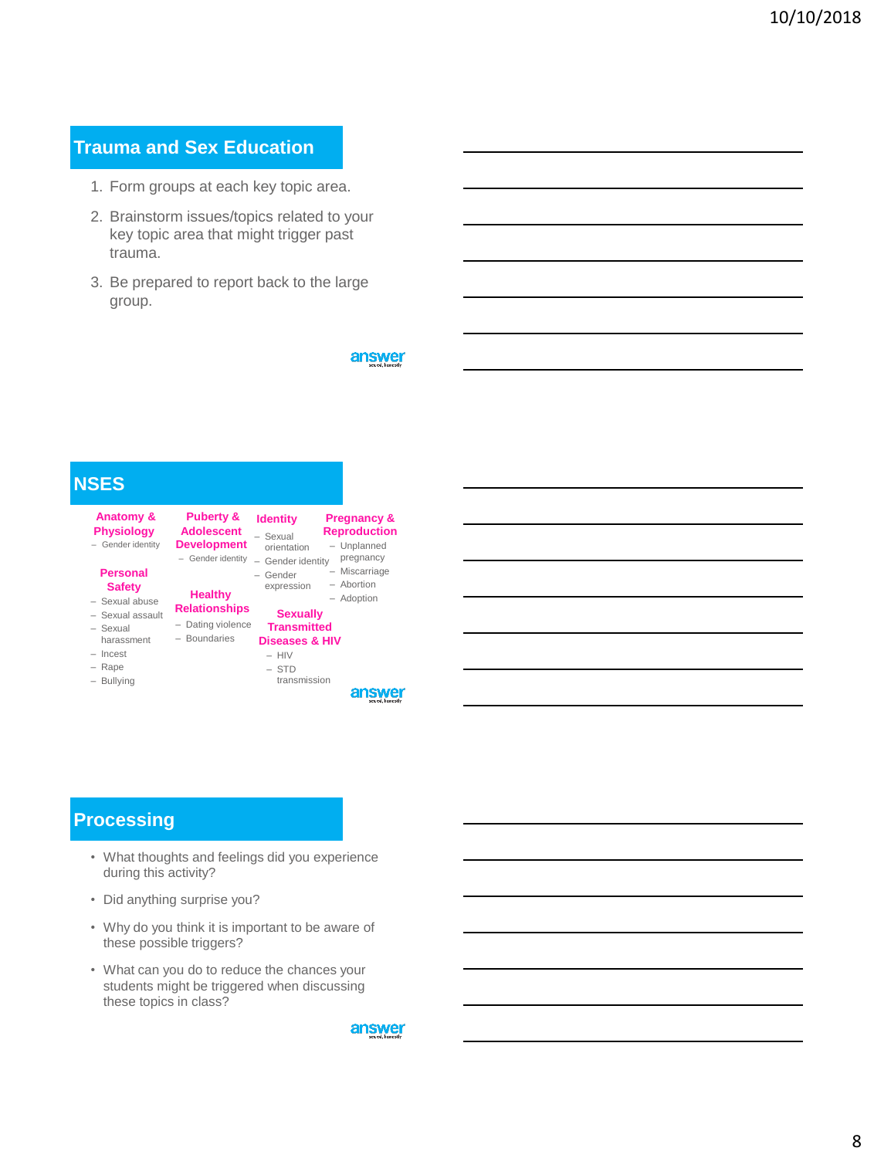# **Trauma and Sex Education**

- 1. Form groups at each key topic area.
- 2. Brainstorm issues/topics related to your key topic area that might trigger past trauma.
- 3. Be prepared to report back to the large group.

answer



## **Processing**

- What thoughts and feelings did you experience during this activity?
- Did anything surprise you?
- Why do you think it is important to be aware of these possible triggers?
- What can you do to reduce the chances your students might be triggered when discussing these topics in class?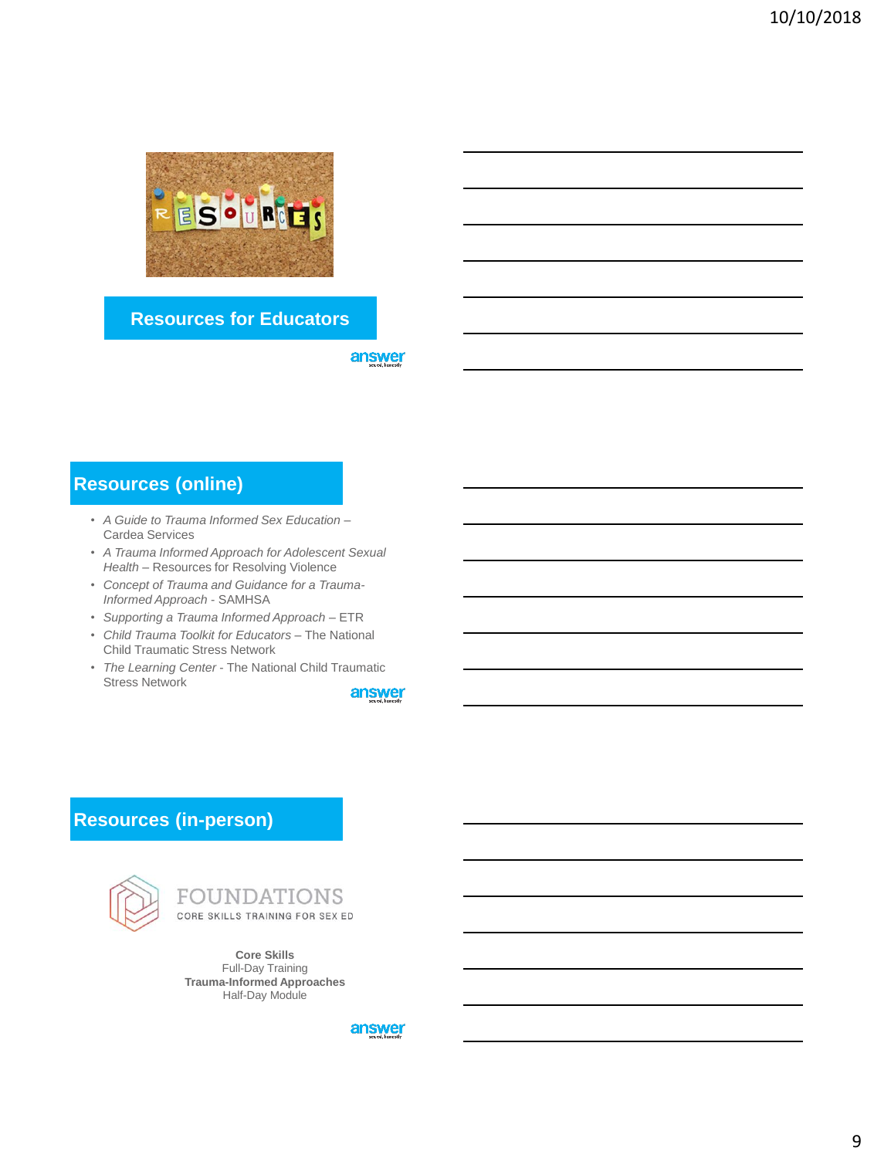

### **Resources for Educators**

answer

# **Resources (online)**

- *A Guide to Trauma Informed Sex Education* Cardea Services
- *A Trauma Informed Approach for Adolescent Sexual Health* – Resources for Resolving Violence
- *Concept of Trauma and Guidance for a Trauma-Informed Approach* - SAMHSA
- *Supporting a Trauma Informed Approach –* ETR
- *Child Trauma Toolkit for Educators –* The National Child Traumatic Stress Network
- *The Learning Center*  The National Child Traumatic Stress Network

answer

# **Resources (in-person)**



# FOUNDATIONS

CORE SKILLS TRAINING FOR SEX ED

**Core Skills** Full-Day Training **Trauma-Informed Approaches** Half-Day Module